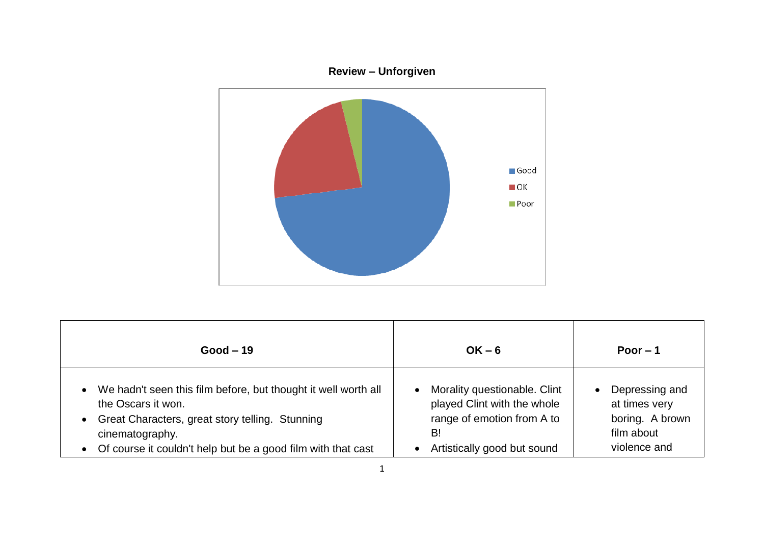

| $Good-19$                                                                                                                                                                                                                        | $OK - 6$                                                                                                                                    | Poor $-1$                                                                                     |
|----------------------------------------------------------------------------------------------------------------------------------------------------------------------------------------------------------------------------------|---------------------------------------------------------------------------------------------------------------------------------------------|-----------------------------------------------------------------------------------------------|
| • We hadn't seen this film before, but thought it well worth all<br>the Oscars it won.<br>• Great Characters, great story telling. Stunning<br>cinematography.<br>• Of course it couldn't help but be a good film with that cast | Morality questionable. Clint<br>$\bullet$<br>played Clint with the whole<br>range of emotion from A to<br>B!<br>Artistically good but sound | Depressing and<br>$\bullet$<br>at times very<br>boring. A brown<br>film about<br>violence and |